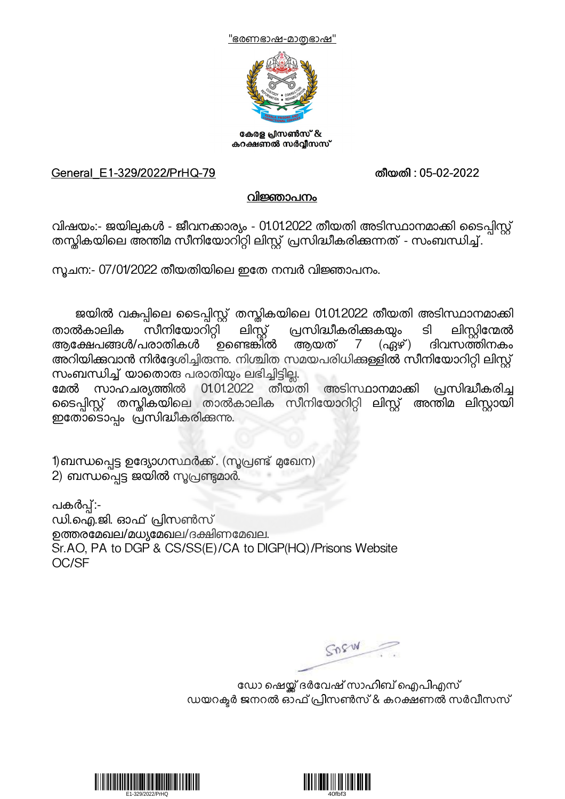



കേരള പ്രസൺസ് & കറക്ഷണൽ സർവ്വീസസ്

## General\_E1-329/2022/PrHQ-79 തീയതി : 05-02-2022

## വിജ്ഞാപനം

വിഷയം:- ജയില്പകൾ - ജീവനക്കാര്യം - 01.01.2022 തീയതി അടിസ്ഥാനമാക്കി ടൈപിസ്റ്റ് തസ്തികയിലെ അന്തിമ സീനിയോറിറ്റി ലിസ്റ്റ് പ്രസിദ്ധീകരിക്കുന്നത് - സംബന്ധിച്ച്.

നൂചന:- 07/01/2022 തീയതിയിലെ ഇതേ നമ്പർ വിജ്ഞാപനം.

ജയിൽ വകുപ്പിലെ ടൈപ്പിസ്റ്റ് തന്റ്ലികയിലെ 01.01.2022 തീയതി അടിസ്ഥാനമാക്കി താൽകാലിക സീനിയോറിറ്റി ലിസ്റ്റ് പ്രസിദ്ധീകരിക്കുകയും ടി ലിസ്റ്റിന്മേൽ<br>ആക്ഷേപങ്ങൾ/പരാതികൾ ഉണ്ടെങ്കിൽ ആയത് 7 (ഏഴ്) ദിവസത്തിനകം അറിയിക്കവാൻ നിർദ്ദേശിച്ചിരുന്നു. നിശ്ചിത സമയപരിധിക്കള്ളിൽ സീനിയോറിറ്റി ലിസ്റ്റ്<br>സംബന്ധിച്ച് യാതൊരു പരാതിയും ലഭിച്ചിട്ടില്ല.<br>മേൽ സാഹചര്യത്തിൽ 01.01.2022 തീയതി അടിസ്ഥാനമാക്കി പ്രസിദ്ധീകരിച്ച

സാഹചര്യത്തിൽ 01.01.2022 തീയതി ടൈപ്പിസ്റ്റ് തന്റ്ലികയിലെ താൽകാലിക സീനിയോറിറ്റി ലിസ്റ്റ് അന്തിമ ലിസ്റ്റായി ഇതോടൊപ്പം പ്രസിദ്ധീകരിക്കുന്നു.

1)ബന്ധപ്പെട്ട ഉദ്യോഗസ്ഥർക്ക്. (സൂപ്രണ്ട് മുഖേന) 2) ബന്ധപ്പെട്ട ജയിൽ സൂപ്രണ്ടുമാർ.

പകർപ്പ്:-<br>ഡി.ഐ.ജി. ഓഫ് പ്രിസൺസ് ഉത്തരമേഖല/മധ്യമേഖല/ദക്ഷിണമേഖല. Sr.AO, PA to DGP & CS/SS(E)/CA to DIGP(HQ)/Prisons Website OC/SF

SOSW

ഡോ ഷെയ്ക്ക് ദർവേഷ് സാഹിബ് ഐപിഎസ് ഡയറക്ടർ ജനറൽ ഓഫ് പ്രിസൺസ് & കറക്ഷണൽ സർവീസസ്



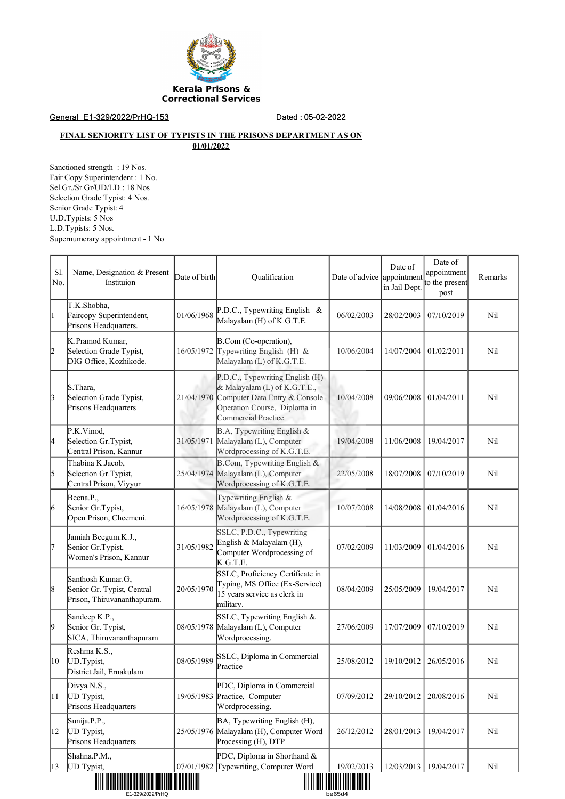

General\_E1-329/2022/PrHQ-153 Dated : 05-02-2022

## **FINAL SENIORITY LIST OF TYPISTS IN THE PRISONS DEPARTMENT AS ON 01/01/2022**

Sanctioned strength : 19 Nos. Fair Copy Superintendent : 1 No. Sel.Gr./Sr.Gr/UD/LD : 18 Nos Selection Grade Typist: 4 Nos. Senior Grade Typist: 4 U.D.Typists: 5 Nos L.D.Typists: 5 Nos. Supernumerary appointment - 1 No

| S1.<br>No. | Name, Designation & Present<br>Instituion                                      | Date of birth | Qualification                                                                                                                                            | Date of advice appointment                  | Date of<br>in Jail Dept. | Date of<br>appointment<br>to the present<br>post | Remarks |
|------------|--------------------------------------------------------------------------------|---------------|----------------------------------------------------------------------------------------------------------------------------------------------------------|---------------------------------------------|--------------------------|--------------------------------------------------|---------|
| l1         | T.K.Shobha,<br>Faircopy Superintendent,<br>Prisons Headquarters.               | 01/06/1968    | P.D.C., Typewriting English &<br>Malayalam (H) of K.G.T.E.                                                                                               | 06/02/2003                                  | 28/02/2003               | 07/10/2019                                       | Nil     |
| 2          | K.Pramod Kumar,<br>Selection Grade Typist,<br>DIG Office, Kozhikode.           | 16/05/1972    | B.Com (Co-operation),<br>Typewriting English (H) $&$<br>Malayalam (L) of K.G.T.E.                                                                        | 10/06/2004                                  | 14/07/2004               | 01/02/2011                                       | Nil     |
| 3          | S.Thara,<br>Selection Grade Typist,<br>Prisons Headquarters                    | 21/04/1970    | P.D.C., Typewriting English (H)<br>& Malayalam (L) of K.G.T.E.,<br>Computer Data Entry & Console<br>Operation Course, Diploma in<br>Commercial Practice. | 10/04/2008                                  | 09/06/2008               | 01/04/2011                                       | Nil     |
| 4          | P.K.Vinod,<br>Selection Gr. Typist,<br>Central Prison, Kannur                  | 31/05/1971    | B.A, Typewriting English &<br>Malayalam (L), Computer<br>Wordprocessing of K.G.T.E.                                                                      | 19/04/2008                                  | 11/06/2008               | 19/04/2017                                       | Nil     |
| 5          | Thabina K.Jacob,<br>Selection Gr.Typist,<br>Central Prison, Viyyur             | 25/04/1974    | B.Com, Typewriting English &<br>Malayalam (L), Computer<br>Wordprocessing of K.G.T.E.                                                                    | 22/05/2008                                  | 18/07/2008               | 07/10/2019                                       | Nil     |
| 6          | Beena.P.,<br>Senior Gr.Typist,<br>Open Prison, Cheemeni.                       | 16/05/1978    | Typewriting English &<br>Malayalam (L), Computer<br>Wordprocessing of K.G.T.E.                                                                           | 10/07/2008                                  | 14/08/2008               | 01/04/2016                                       | Nil     |
| 17         | Jamiah Beegum.K.J.,<br>Senior Gr.Typist,<br>Women's Prison, Kannur             | 31/05/1982    | SSLC, P.D.C., Typewriting<br>English & Malayalam (H),<br>Computer Wordprocessing of<br>K.G.T.E.                                                          | 07/02/2009                                  | 11/03/2009               | 01/04/2016                                       | Nil     |
| 8          | Santhosh Kumar.G,<br>Senior Gr. Typist, Central<br>Prison, Thiruvananthapuram. | 20/05/1970    | SSLC, Proficiency Certificate in<br>Typing, MS Office (Ex-Service)<br>15 years service as clerk in<br>military.                                          | 08/04/2009                                  | 25/05/2009               | 19/04/2017                                       | Nil     |
| 19         | Sandeep K.P.,<br>Senior Gr. Typist,<br>SICA, Thiruvananthapuram                | 08/05/1978    | SSLC, Typewriting English &<br>Malayalam (L), Computer<br>Wordprocessing.                                                                                | 27/06/2009                                  | 17/07/2009               | 07/10/2019                                       | Nil     |
| 10         | Reshma K.S.,<br>UD.Typist,<br>District Jail, Ernakulam                         | 08/05/1989    | SSLC, Diploma in Commercial<br>Practice                                                                                                                  | 25/08/2012                                  | 19/10/2012               | 26/05/2016                                       | Nil     |
| 11         | Divya N.S.,<br>UD Typist,<br>Prisons Headquarters                              | 19/05/1983    | PDC, Diploma in Commercial<br>Practice, Computer<br>Wordprocessing.                                                                                      | 07/09/2012                                  | 29/10/2012               | 20/08/2016                                       | Nil     |
| 12         | Sunija.P.P.,<br>UD Typist,<br>Prisons Headquarters                             | 25/05/1976    | BA, Typewriting English (H),<br>Malayalam (H), Computer Word<br>Processing (H), DTP                                                                      | 26/12/2012                                  | 28/01/2013               | 19/04/2017                                       | Nil     |
| 13         | Shahna.P.M.,<br>UD Typist,                                                     |               | PDC, Diploma in Shorthand $&$<br>07/01/1982 Typewriting, Computer Word                                                                                   | 19/02/2013<br>TII II OOI TUITEII ITTI JUTTI |                          | 12/03/2013   19/04/2017                          | Nil     |

E1-329/2022/PrHQ be65d4